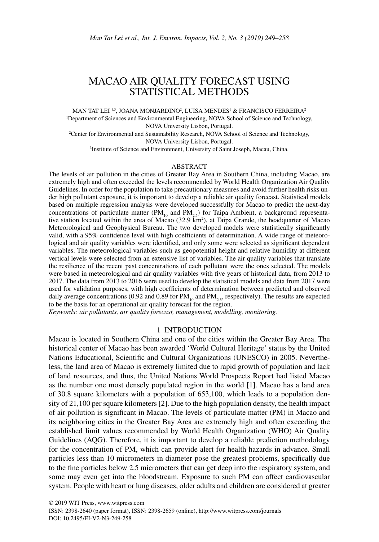# MACAO AIR QUALITY FORECAST USING STATISTICAL METHODS

MAN TAT LEI 1.3, JOANA MONJARDINO<sup>2</sup>, LUISA MENDES<sup>1</sup> & FRANCISCO FERREIRA<sup>3</sup> 1 Department of Sciences and Environmental Engineering, NOVA School of Science and Technology, NOVA University Lisbon, Portugal.

2 Center for Environmental and Sustainability Research, NOVA School of Science and Technology, NOVA University Lisbon, Portugal.

3 Institute of Science and Environment, University of Saint Joseph, Macau, China.

### ABSTRACT

The levels of air pollution in the cities of Greater Bay Area in Southern China, including Macao, are extremely high and often exceeded the levels recommended by World Health Organization Air Quality Guidelines. In order for the population to take precautionary measures and avoid further health risks under high pollutant exposure, it is important to develop a reliable air quality forecast. Statistical models based on multiple regression analysis were developed successfully for Macao to predict the next-day concentrations of particulate matter ( $PM_{10}$  and  $PM_{2.5}$ ) for Taipa Ambient, a background representative station located within the area of Macao (32.9 km<sup>2</sup>), at Taipa Grande, the headquarter of Macao Meteorological and Geophysical Bureau. The two developed models were statistically significantly valid, with a 95% confidence level with high coefficients of determination. A wide range of meteorological and air quality variables were identified, and only some were selected as significant dependent variables. The meteorological variables such as geopotential height and relative humidity at different vertical levels were selected from an extensive list of variables. The air quality variables that translate the resilience of the recent past concentrations of each pollutant were the ones selected. The models were based in meteorological and air quality variables with five years of historical data, from 2013 to 2017. The data from 2013 to 2016 were used to develop the statistical models and data from 2017 were used for validation purposes, with high coefficients of determination between predicted and observed daily average concentrations (0.92 and 0.89 for  $PM_{10}$  and  $PM_{25}$ , respectively). The results are expected to be the basis for an operational air quality forecast for the region.

*Keywords: air pollutants, air quality forecast, management, modelling, monitoring.*

# 1 INTRODUCTION

Macao is located in Southern China and one of the cities within the Greater Bay Area. The historical center of Macao has been awarded 'World Cultural Heritage' status by the United Nations Educational, Scientific and Cultural Organizations (UNESCO) in 2005. Nevertheless, the land area of Macao is extremely limited due to rapid growth of population and lack of land resources, and thus, the United Nations World Prospects Report had listed Macao as the number one most densely populated region in the world [1]. Macao has a land area of 30.8 square kilometers with a population of 653,100, which leads to a population density of 21,100 per square kilometers [2]. Due to the high population density, the health impact of air pollution is significant in Macao. The levels of particulate matter (PM) in Macao and its neighboring cities in the Greater Bay Area are extremely high and often exceeding the established limit values recommended by World Health Organization (WHO) Air Quality Guidelines (AQG). Therefore, it is important to develop a reliable prediction methodology for the concentration of PM, which can provide alert for health hazards in advance. Small particles less than 10 micrometers in diameter pose the greatest problems, specifically due to the fine particles below 2.5 micrometers that can get deep into the respiratory system, and some may even get into the bloodstream. Exposure to such PM can affect cardiovascular system. People with heart or lung diseases, older adults and children are considered at greater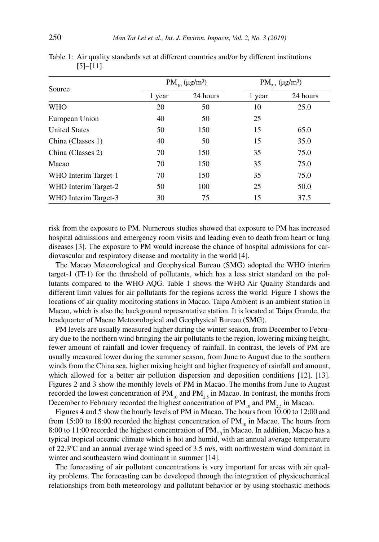| Source               |        | $PM_{10} (\mu g/m^3)$ | $PM_{2.5} (\mu g/m^3)$ |          |
|----------------------|--------|-----------------------|------------------------|----------|
|                      | 1 year | 24 hours              | 1 year                 | 24 hours |
| <b>WHO</b>           | 20     | 50                    | 10                     | 25.0     |
| European Union       | 40     | 50                    | 25                     |          |
| <b>United States</b> | 50     | 150                   | 15                     | 65.0     |
| China (Classes 1)    | 40     | 50                    | 15                     | 35.0     |
| China (Classes 2)    | 70     | 150                   | 35                     | 75.0     |
| Macao                | 70     | 150                   | 35                     | 75.0     |
| WHO Interim Target-1 | 70     | 150                   | 35                     | 75.0     |
| WHO Interim Target-2 | 50     | 100                   | 25                     | 50.0     |
| WHO Interim Target-3 | 30     | 75                    | 15                     | 37.5     |

Table 1: Air quality standards set at different countries and/or by different institutions  $[5]$ – $[11]$ .

risk from the exposure to PM. Numerous studies showed that exposure to PM has increased hospital admissions and emergency room visits and leading even to death from heart or lung diseases [3]. The exposure to PM would increase the chance of hospital admissions for cardiovascular and respiratory disease and mortality in the world [4].

The Macao Meteorological and Geophysical Bureau (SMG) adopted the WHO interim target-1 (IT-1) for the threshold of pollutants, which has a less strict standard on the pollutants compared to the WHO AQG. Table 1 shows the WHO Air Quality Standards and different limit values for air pollutants for the regions across the world. Figure 1 shows the locations of air quality monitoring stations in Macao. Taipa Ambient is an ambient station in Macao, which is also the background representative station. It is located at Taipa Grande, the headquarter of Macao Meteorological and Geophysical Bureau (SMG).

PM levels are usually measured higher during the winter season, from December to February due to the northern wind bringing the air pollutants to the region, lowering mixing height, fewer amount of rainfall and lower frequency of rainfall. In contrast, the levels of PM are usually measured lower during the summer season, from June to August due to the southern winds from the China sea, higher mixing height and higher frequency of rainfall and amount, which allowed for a better air pollution dispersion and deposition conditions [12], [13]. Figures 2 and 3 show the monthly levels of PM in Macao. The months from June to August recorded the lowest concentration of  $PM_{10}$  and  $PM_{2.5}$  in Macao. In contrast, the months from December to February recorded the highest concentration of  $PM_{10}$  and  $PM_{25}$  in Macao.

Figures 4 and 5 show the hourly levels of PM in Macao. The hours from 10:00 to 12:00 and from 15:00 to 18:00 recorded the highest concentration of  $PM_{10}$  in Macao. The hours from 8:00 to 11:00 recorded the highest concentration of  $PM$ <sub>2</sub>, in Macao. In addition, Macao has a typical tropical oceanic climate which is hot and humid, with an annual average temperature of 22.3ºC and an annual average wind speed of 3.5 m/s, with northwestern wind dominant in winter and southeastern wind dominant in summer [14].

The forecasting of air pollutant concentrations is very important for areas with air quality problems. The forecasting can be developed through the integration of physicochemical relationships from both meteorology and pollutant behavior or by using stochastic methods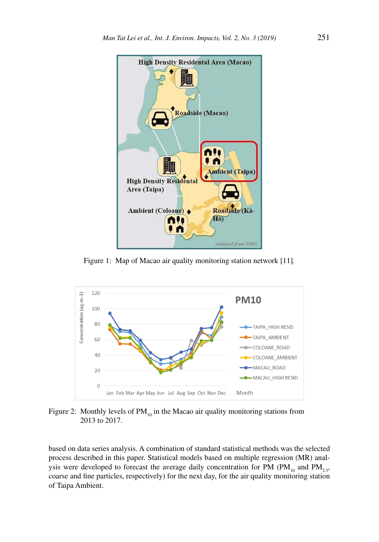

Figure 1: Map of Macao air quality monitoring station network [11].



Figure 2: Monthly levels of  $PM_{10}$  in the Macao air quality monitoring stations from 2013 to 2017.

based on data series analysis. A combination of standard statistical methods was the selected process described in this paper. Statistical models based on multiple regression (MR) analysis were developed to forecast the average daily concentration for PM ( $PM_{10}$  and  $PM_{2.5}$ , coarse and fine particles, respectively) for the next day, for the air quality monitoring station of Taipa Ambient.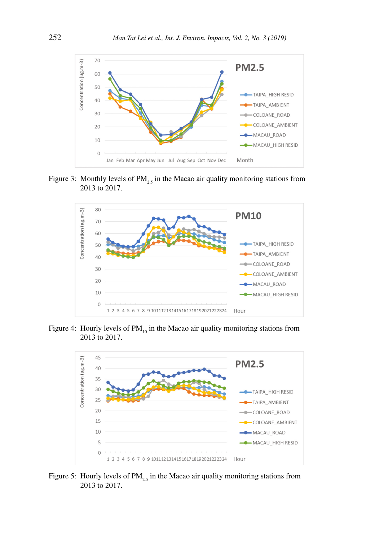

Figure 3: Monthly levels of  $PM_{2.5}$  in the Macao air quality monitoring stations from 2013 to 2017.



Figure 4: Hourly levels of  $PM_{10}$  in the Macao air quality monitoring stations from 2013 to 2017.



Figure 5: Hourly levels of  $PM<sub>25</sub>$  in the Macao air quality monitoring stations from 2013 to 2017.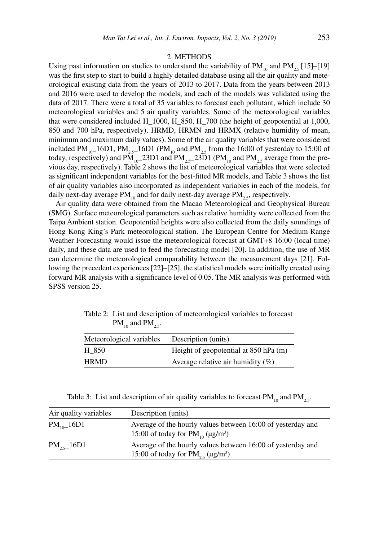#### 2 METHODS

Using past information on studies to understand the variability of  $PM_{10}$  and  $PM_{25}$  [15]–[19] was the first step to start to build a highly detailed database using all the air quality and meteorological existing data from the years of 2013 to 2017. Data from the years between 2013 and 2016 were used to develop the models, and each of the models was validated using the data of 2017. There were a total of 35 variables to forecast each pollutant, which include 30 meteorological variables and 5 air quality variables. Some of the meteorological variables that were considered included H\_1000, H\_850, H\_700 (the height of geopotential at 1,000, 850 and 700 hPa, respectively), HRMD, HRMN and HRMX (relative humidity of mean, minimum and maximum daily values). Some of the air quality variables that were considered included PM<sub>10</sub><sup>-16D1</sup>, PM<sub>25</sub><sup>-16D1</sup> (PM<sub>10</sub> and PM<sub>25</sub> from the 16:00 of yesterday to 15:00 of today, respectively) and  $PM_{10}$  = 23D1 and  $PM_{2.5}$  = 23D1 (PM<sub>10</sub> and PM<sub>2.5</sub> average from the previous day, respectively). Table 2 shows the list of meteorological variables that were selected as significant independent variables for the best-fitted MR models, and Table 3 shows the list of air quality variables also incorporated as independent variables in each of the models, for daily next-day average  $PM_{10}$  and for daily next-day average  $PM_{25}$ , respectively.

Air quality data were obtained from the Macao Meteorological and Geophysical Bureau (SMG). Surface meteorological parameters such as relative humidity were collected from the Taipa Ambient station. Geopotential heights were also collected from the daily soundings of Hong Kong King's Park meteorological station. The European Centre for Medium-Range Weather Forecasting would issue the meteorological forecast at GMT+8 16:00 (local time) daily, and these data are used to feed the forecasting model [20]. In addition, the use of MR can determine the meteorological comparability between the measurement days [21]. Following the precedent experiences [22]–[25], the statistical models were initially created using forward MR analysis with a significance level of 0.05. The MR analysis was performed with SPSS version 25.

| Table 2: List and description of meteorological variables to forecast |
|-----------------------------------------------------------------------|
| $PM_{10}$ and $PM_{25}$ .                                             |

| Meteorological variables | Description (units)                   |
|--------------------------|---------------------------------------|
| H 850                    | Height of geopotential at 850 hPa (m) |
| <b>HRMD</b>              | Average relative air humidity $(\%)$  |

Table 3: List and description of air quality variables to forecast  $PM_{10}$  and  $PM_{2.5}$ .

| Air quality variables | Description (units)                                                                                                    |
|-----------------------|------------------------------------------------------------------------------------------------------------------------|
| $PM_{10-}16D1$        | Average of the hourly values between 16:00 of yesterday and<br>15:00 of today for $PM_{10}$ ( $\mu$ g/m <sup>3</sup> ) |
| $PM_{2,5}$ 16D1       | Average of the hourly values between 16:00 of yesterday and<br>15:00 of today for $PM_{25}$ (µg/m <sup>3</sup> )       |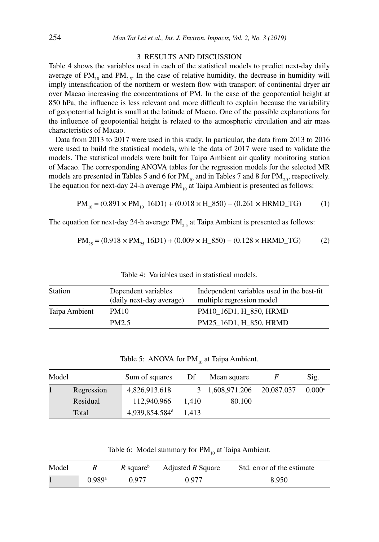## 3 RESULTS AND DISCUSSION

Table 4 shows the variables used in each of the statistical models to predict next-day daily average of  $PM_{10}$  and  $PM_{25}$ . In the case of relative humidity, the decrease in humidity will imply intensification of the northern or western flow with transport of continental dryer air over Macao increasing the concentrations of PM. In the case of the geopotential height at 850 hPa, the influence is less relevant and more difficult to explain because the variability of geopotential height is small at the latitude of Macao. One of the possible explanations for the influence of geopotential height is related to the atmospheric circulation and air mass characteristics of Macao.

Data from 2013 to 2017 were used in this study. In particular, the data from 2013 to 2016 were used to build the statistical models, while the data of 2017 were used to validate the models. The statistical models were built for Taipa Ambient air quality monitoring station of Macao. The corresponding ANOVA tables for the regression models for the selected MR models are presented in Tables 5 and 6 for  $PM_{10}$  and in Tables 7 and 8 for  $PM_{25}$ , respectively. The equation for next-day 24-h average  $PM_{10}$  at Taipa Ambient is presented as follows:

$$
PM_{10} = (0.891 \times PM_{10} - 16D1) + (0.018 \times H_{850}) - (0.261 \times HRMD_{T}G)
$$
 (1)

The equation for next-day 24-h average  $PM_{2,5}$  at Taipa Ambient is presented as follows:

$$
PM_{25} = (0.918 \times PM_{25} - 16D1) + (0.009 \times H_{850}) - (0.128 \times HRMD_{T} - 16D) \tag{2}
$$

| <b>Station</b> | Dependent variables<br>(daily next-day average) | Independent variables used in the best-fit<br>multiple regression model |
|----------------|-------------------------------------------------|-------------------------------------------------------------------------|
| Taipa Ambient  | <b>PM10</b>                                     | PM10 16D1, H 850, HRMD                                                  |
|                | PM <sub>2.5</sub>                               | PM25_16D1, H_850, HRMD                                                  |

Table 4: Variables used in statistical models.

Table 5: ANOVA for  $PM_{10}$  at Taipa Ambient.

| Model |            | Sum of squares             | Df    | Mean square     |            | Sig.   |
|-------|------------|----------------------------|-------|-----------------|------------|--------|
|       | Regression | 4,826,913.618              |       | 3 1,608,971.206 | 20,087.037 | 0.000c |
|       | Residual   | 112,940.966                | 1.410 | 80.100          |            |        |
|       | Total      | 4,939,854.584 <sup>d</sup> | 1.413 |                 |            |        |

Table 6: Model summary for  $PM_{10}$  at Taipa Ambient.

| Model |                      |       | $R$ square <sup>b</sup> Adjusted R Square | Std. error of the estimate |
|-------|----------------------|-------|-------------------------------------------|----------------------------|
|       | $0.989$ <sup>a</sup> | 0.977 | 0.977                                     | 8.950                      |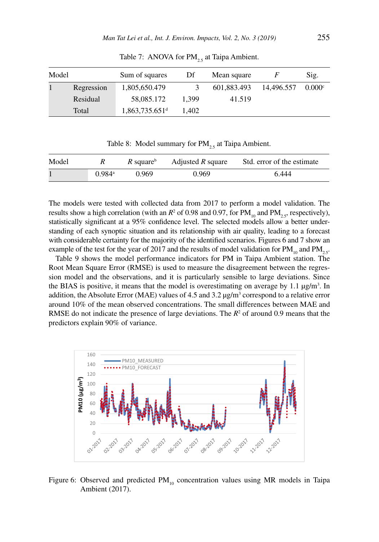| Model |            | Sum of squares               | Df    | Mean square |            | Sig.   |
|-------|------------|------------------------------|-------|-------------|------------|--------|
|       | Regression | 1,805,650.479                |       | 601.883.493 | 14.496.557 | 0.000c |
|       | Residual   | 58,085.172                   | 1.399 | 41.519      |            |        |
|       | Total      | $1,863,735.651$ <sup>d</sup> | 1.402 |             |            |        |

Table 7: ANOVA for  $PM_{2,5}$  at Taipa Ambient.

Table 8: Model summary for  $PM_{2.5}$  at Taipa Ambient.

| Model |                      | R square <sup>b</sup> | Adjusted $R$ square | Std. error of the estimate |
|-------|----------------------|-----------------------|---------------------|----------------------------|
|       | $0.984$ <sup>a</sup> | 0.969                 | 0.969               | 6.444                      |

The models were tested with collected data from 2017 to perform a model validation. The results show a high correlation (with an  $R^2$  of 0.98 and 0.97, for  $PM_{10}$  and  $PM_{2.5}$ , respectively), statistically significant at a 95% confidence level. The selected models allow a better understanding of each synoptic situation and its relationship with air quality, leading to a forecast with considerable certainty for the majority of the identified scenarios. Figures 6 and 7 show an example of the test for the year of 2017 and the results of model validation for  $PM_{10}$  and  $PM_{25}$ .

Table 9 shows the model performance indicators for PM in Taipa Ambient station. The Root Mean Square Error (RMSE) is used to measure the disagreement between the regression model and the observations, and it is particularly sensible to large deviations. Since the BIAS is positive, it means that the model is overestimating on average by 1.1  $\mu g/m<sup>3</sup>$ . In addition, the Absolute Error (MAE) values of 4.5 and 3.2  $\mu$ g/m<sup>3</sup> correspond to a relative error around 10% of the mean observed concentrations. The small differences between MAE and RMSE do not indicate the presence of large deviations. The  $R<sup>2</sup>$  of around 0.9 means that the predictors explain 90% of variance.



Figure 6: Observed and predicted  $PM_{10}$  concentration values using MR models in Taipa Ambient (2017).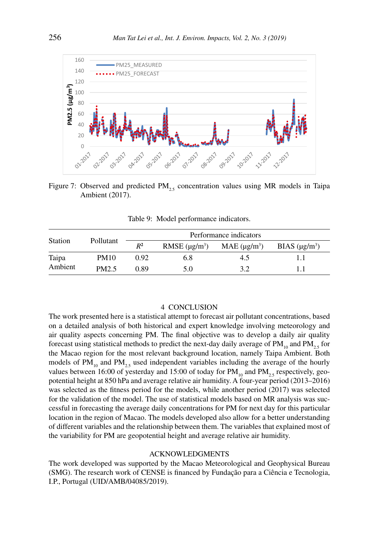

Figure 7: Observed and predicted  $PM_{25}$  concentration values using MR models in Taipa Ambient (2017).

Table 9: Model performance indicators.

|                |                   |       | Performance indicators |                   |                    |  |
|----------------|-------------------|-------|------------------------|-------------------|--------------------|--|
| <b>Station</b> | Pollutant         | $R^2$ | RMSE $(\mu g/m^3)$     | MAE $(\mu g/m^3)$ | BIAS $(\mu g/m^3)$ |  |
| Taipa          | PM10              | 0.92  | 6.8                    | 4.5               |                    |  |
| Ambient        | PM <sub>2.5</sub> | 0.89  | 5.0                    | 3.2               |                    |  |

# 4 CONCLUSION

The work presented here is a statistical attempt to forecast air pollutant concentrations, based on a detailed analysis of both historical and expert knowledge involving meteorology and air quality aspects concerning PM. The final objective was to develop a daily air quality forecast using statistical methods to predict the next-day daily average of  $PM_{10}$  and  $PM_{2.5}$  for the Macao region for the most relevant background location, namely Taipa Ambient. Both models of  $PM_{10}$  and  $PM_{2.5}$  used independent variables including the average of the hourly values between 16:00 of yesterday and 15:00 of today for  $PM_{10}$  and  $PM_{2.5}$  respectively, geopotential height at 850 hPa and average relative air humidity. A four-year period (2013–2016) was selected as the fitness period for the models, while another period (2017) was selected for the validation of the model. The use of statistical models based on MR analysis was successful in forecasting the average daily concentrations for PM for next day for this particular location in the region of Macao. The models developed also allow for a better understanding of different variables and the relationship between them. The variables that explained most of the variability for PM are geopotential height and average relative air humidity.

# ACKNOWLEDGMENTS

The work developed was supported by the Macao Meteorological and Geophysical Bureau (SMG). The research work of CENSE is financed by Fundação para a Ciência e Tecnologia, I.P., Portugal (UID/AMB/04085/2019).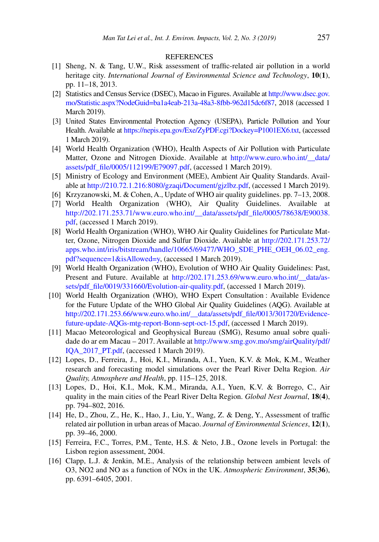#### REFERENCES

- [1] Sheng, N. & Tang, U.W., Risk assessment of traffic-related air pollution in a world heritage city. *International Journal of Environmental Science and Technology*, **10**(**1**), pp. 11–18, 2013.
- [2] Statistics and Census Service (DSEC), Macao in Figures. Available at [http://www.dsec.gov.](http://www.dsec.gov.mo/Statistic.aspx?NodeGuid=ba1a4eab-213a-48a3-8fbb-962d15dc6f87) [mo/Statistic.aspx?NodeGuid=ba1a4eab-213a-48a3-8fbb-962d15dc6f87,](http://www.dsec.gov.mo/Statistic.aspx?NodeGuid=ba1a4eab-213a-48a3-8fbb-962d15dc6f87) 2018 (accessed 1 March 2019).
- [3] United States Environmental Protection Agency (USEPA), Particle Pollution and Your Health. Available at [https://nepis.epa.gov/Exe/ZyPDF.cgi?Dockey=P1001EX6.txt,](https://nepis.epa.gov/Exe/ZyPDF.cgi?Dockey=P1001EX6.txt) (accessed 1 March 2019).
- [4] World Health Organization (WHO), Health Aspects of Air Pollution with Particulate Matter, Ozone and Nitrogen Dioxide. Available at [http://www.euro.who.int/\\_\\_data/](http://www.euro.who.int/__data/­assets/pdf_file/0005/112199/E79097.pdf) [assets/pdf\\_file/0005/112199/E79097.pdf,](http://www.euro.who.int/__data/­assets/pdf_file/0005/112199/E79097.pdf) (accessed 1 March 2019).
- [5] Ministry of Ecology and Environment (MEE), Ambient Air Quality Standards. Available at [http://210.72.1.216:8080/gzaqi/Document/gjzlbz.pdf,](http://210.72.1.216:8080/gzaqi/Document/gjzlbz.pdf) (accessed 1 March 2019).
- [6] Krzyzanowski, M. & Cohen, A., Update of WHO air quality guidelines. pp. 7–13, 2008.
- [7] World Health Organization (WHO), Air Quality Guidelines. Available at [http://202.171.253.71/www.euro.who.int/\\_\\_data/assets/pdf\\_file/0005/78638/E90038.](http://202.171.253.71/www.euro.who.int/__data/assets/pdf_file/0005/78638/E90038.pdf) [pdf](http://202.171.253.71/www.euro.who.int/__data/assets/pdf_file/0005/78638/E90038.pdf), (accessed 1 March 2019).
- [8] World Health Organization (WHO), WHO Air Quality Guidelines for Particulate Matter, Ozone, Nitrogen Dioxide and Sulfur Dioxide. Available at [http://202.171.253.72/](http://202.171.253.72/apps.who.int/iris/bitstream/handle/10665/69477/WHO_SDE_PHE_OEH_06.02_eng.pdf?sequence=1&isAllowed=y) [apps.who.int/iris/bitstream/handle/10665/69477/WHO\\_SDE\\_PHE\\_OEH\\_06.02\\_eng.](http://202.171.253.72/apps.who.int/iris/bitstream/handle/10665/69477/WHO_SDE_PHE_OEH_06.02_eng.pdf?sequence=1&isAllowed=y) [pdf?sequence=1&isAllowed=y,](http://202.171.253.72/apps.who.int/iris/bitstream/handle/10665/69477/WHO_SDE_PHE_OEH_06.02_eng.pdf?sequence=1&isAllowed=y) (accessed 1 March 2019).
- [9] World Health Organization (WHO), Evolution of WHO Air Quality Guidelines: Past, Present and Future. Available at [http://202.171.253.69/www.euro.who.int/\\_\\_data/as](http://202.171.253.69/www.euro.who.int/__data/assets/pdf_file/0019/331660/Evolution-air-quality.pdf)[sets/pdf\\_file/0019/331660/Evolution-air-quality.pdf](http://202.171.253.69/www.euro.who.int/__data/assets/pdf_file/0019/331660/Evolution-air-quality.pdf), (accessed 1 March 2019).
- [10] World Health Organization (WHO), WHO Expert Consultation : Available Evidence for the Future Update of the WHO Global Air Quality Guidelines (AQG). Available at [http://202.171.253.66/www.euro.who.int/\\_\\_data/assets/pdf\\_file/0013/301720/Evidence](http://202.171.253.66/www.euro.who.int/__data/assets/pdf_file/0013/301720/Evidence-future-update-AQGs-mtg-report-Bonn-sept-oct-15.pdf)[future-update-AQGs-mtg-report-Bonn-sept-oct-15.pdf](http://202.171.253.66/www.euro.who.int/__data/assets/pdf_file/0013/301720/Evidence-future-update-AQGs-mtg-report-Bonn-sept-oct-15.pdf), (accessed 1 March 2019).
- [11] Macao Meteorological and Geophysical Bureau (SMG), Resumo anual sobre qualidade do ar em Macau – 2017. Available at [http://www.smg.gov.mo/smg/airQuality/pdf/](http://www.smg.gov.mo/smg/airQuality/pdf/IQA_2017_PT.pdf) [IQA\\_2017\\_PT.pdf,](http://www.smg.gov.mo/smg/airQuality/pdf/IQA_2017_PT.pdf) (accessed 1 March 2019).
- [12] Lopes, D., Ferreira, J., Hoi, K.I., Miranda, A.I., Yuen, K.V. & Mok, K.M., Weather research and forecasting model simulations over the Pearl River Delta Region. *Air Quality, Atmosphere and Health*, pp. 115–125, 2018.
- [13] Lopes, D., Hoi, K.I., Mok, K.M., Miranda, A.I., Yuen, K.V. & Borrego, C., Air quality in the main cities of the Pearl River Delta Region. *Global Nest Journal*, **18**(**4**), pp. 794–802, 2016.
- [14] He, D., Zhou, Z., He, K., Hao, J., Liu, Y., Wang, Z. & Deng, Y., Assessment of traffic related air pollution in urban areas of Macao. *Journal of Environmental Sciences*, **12**(**1**), pp. 39–46, 2000.
- [15] Ferreira, F.C., Torres, P.M., Tente, H.S. & Neto, J.B., Ozone levels in Portugal: the Lisbon region assessment, 2004.
- [16] Clapp, L.J. & Jenkin, M.E., Analysis of the relationship between ambient levels of O3, NO2 and NO as a function of NOx in the UK. *Atmospheric Environment*, **35**(**36**), pp. 6391–6405, 2001.